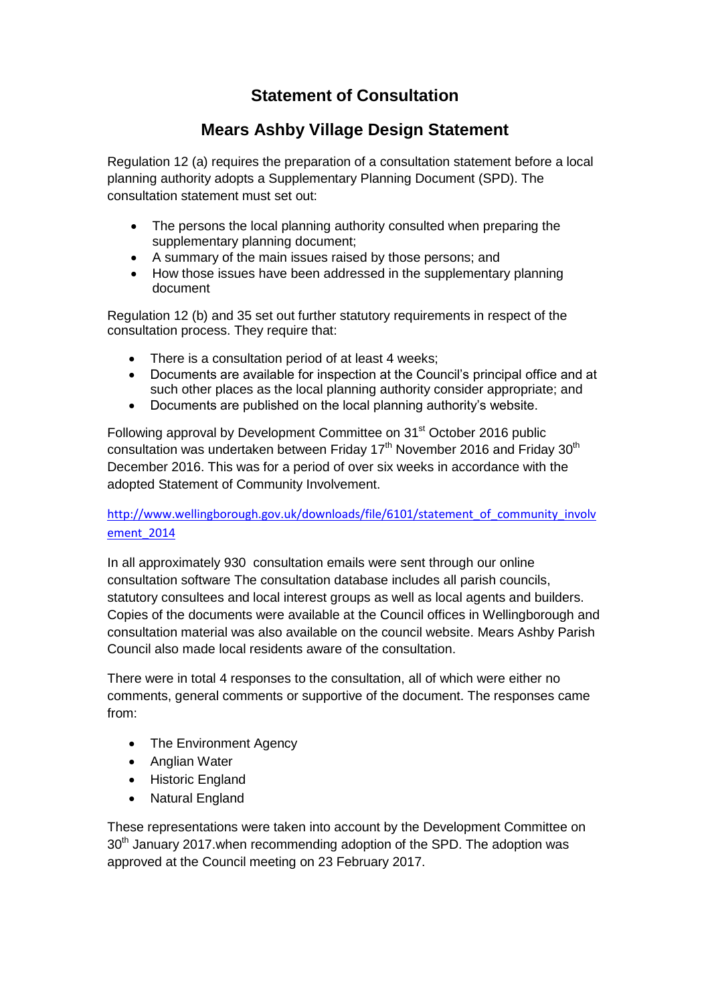# **Statement of Consultation**

## **Mears Ashby Village Design Statement**

Regulation 12 (a) requires the preparation of a consultation statement before a local planning authority adopts a Supplementary Planning Document (SPD). The consultation statement must set out:

- The persons the local planning authority consulted when preparing the supplementary planning document;
- A summary of the main issues raised by those persons; and
- How those issues have been addressed in the supplementary planning document

Regulation 12 (b) and 35 set out further statutory requirements in respect of the consultation process. They require that:

- There is a consultation period of at least 4 weeks;
- Documents are available for inspection at the Council's principal office and at such other places as the local planning authority consider appropriate; and
- Documents are published on the local planning authority's website.

Following approval by Development Committee on 31<sup>st</sup> October 2016 public consultation was undertaken between Friday  $17<sup>th</sup>$  November 2016 and Friday  $30<sup>th</sup>$ December 2016. This was for a period of over six weeks in accordance with the adopted Statement of Community Involvement.

### [http://www.wellingborough.gov.uk/downloads/file/6101/statement\\_of\\_community\\_involv](http://www.wellingborough.gov.uk/downloads/file/6101/statement_of_community_involvement_2014) [ement\\_2014](http://www.wellingborough.gov.uk/downloads/file/6101/statement_of_community_involvement_2014)

In all approximately 930 consultation emails were sent through our online consultation software The consultation database includes all parish councils, statutory consultees and local interest groups as well as local agents and builders. Copies of the documents were available at the Council offices in Wellingborough and consultation material was also available on the council website. Mears Ashby Parish Council also made local residents aware of the consultation.

There were in total 4 responses to the consultation, all of which were either no comments, general comments or supportive of the document. The responses came from:

- The Environment Agency
- Anglian Water
- Historic England
- Natural England

These representations were taken into account by the Development Committee on 30<sup>th</sup> January 2017. when recommending adoption of the SPD. The adoption was approved at the Council meeting on 23 February 2017.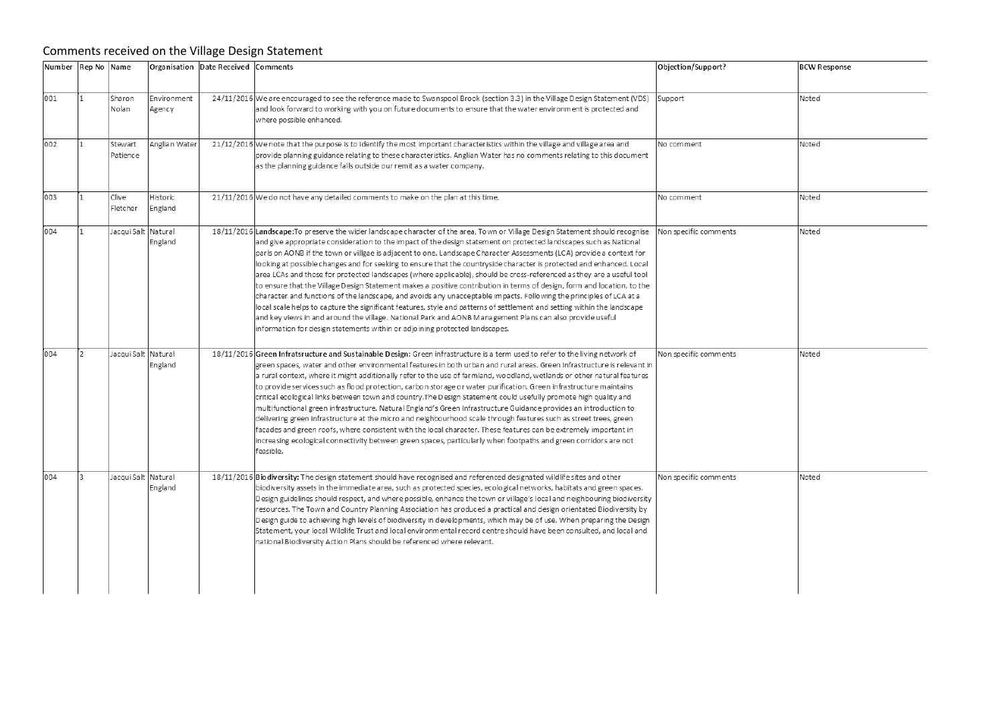### Comments received on the Village Design Statement

| Number Rep No Name |                     |                       | Organisation Date Received Comments |                                                                                                                                                                                                                                                                                                                                                                                                                                                                                                                                                                                                                                                                                                                                                                                                                                                                                                                                                                                                                                                                                                                                                                                                        | Objection/Support?    | <b>BCW Response</b> |  |
|--------------------|---------------------|-----------------------|-------------------------------------|--------------------------------------------------------------------------------------------------------------------------------------------------------------------------------------------------------------------------------------------------------------------------------------------------------------------------------------------------------------------------------------------------------------------------------------------------------------------------------------------------------------------------------------------------------------------------------------------------------------------------------------------------------------------------------------------------------------------------------------------------------------------------------------------------------------------------------------------------------------------------------------------------------------------------------------------------------------------------------------------------------------------------------------------------------------------------------------------------------------------------------------------------------------------------------------------------------|-----------------------|---------------------|--|
| 001                | Sharon<br>Nolan     | Environment<br>Agency |                                     | 24/11/2016 We are encouraged to see the reference made to Swanspool Brook (section 3.3) in the Village Design Statement (VDS)<br>and look forward to working with you on future documents to ensure that the water environment is protected and<br>where possible enhanced.                                                                                                                                                                                                                                                                                                                                                                                                                                                                                                                                                                                                                                                                                                                                                                                                                                                                                                                            | Support               |                     |  |
| 002                | Stewart<br>Patience | Anglian Water         |                                     | 21/12/2016 We note that the purpose is to identify the most important characteristics within the village and village area and<br>provide planning guidance relating to these characteristics. Anglian Water has no comments relating to this document<br>as the planning guidance falls outside our remit as a water company.                                                                                                                                                                                                                                                                                                                                                                                                                                                                                                                                                                                                                                                                                                                                                                                                                                                                          | No comment            | Noted               |  |
| 003                | Clive<br>Fletcher   | Historic<br>England   |                                     | 21/11/2016 We do not have any detailed comments to make on the plan at this time.                                                                                                                                                                                                                                                                                                                                                                                                                                                                                                                                                                                                                                                                                                                                                                                                                                                                                                                                                                                                                                                                                                                      | No comment            | Noted               |  |
| 004                | Jacqui Salt Natural | England               |                                     | 18/11/2016 Landscape: To preserve the wider landscape character of the area, Town or Village Design Statement should recognise<br>and give appropriate consideration to the impact of the design statement on protected landscapes such as National<br>parls on AONB if the town or villgae is adjacent to one. Landscape Character Assessments (LCA) provide a context for<br>looking at possible changes and for seeking to ensure that the countryside character is protected and enhanced. Local<br>area LCAs and those for protected landscapes (where applicable), should be cross-referenced as they are a useful tool<br>to ensure that the Village Design Statement makes a positive contribution in terms of design, form and location, to the<br>character and functions of the landscape, and avoids any unacceptable impacts. Following the principles of LCA at a<br>local scale helps to capture the significant features, style and patterns of settlement and setting within the landscape<br>and key views in and around the village. National Park and AONB Management Plans can also provide useful<br>information for design statements within or adjoining protected landscapes. | Non specific comments | Noted               |  |
| 004                | Jacqui Salt Natural | England               |                                     | 18/11/2016 Green Infratsructure and Sustainable Design: Green infrastructure is a term used to refer to the living network of<br>green spaces, water and other environmental features in both urban and rural areas. Green Infrastructure is relevant in<br>a rural context, where it might additionally refer to the use of farmland, woodland, wetlands or other natural features<br>to provide services such as flood protection, carbon storage or water purification. Green infrastructure maintains<br>critical ecological links between town and country. The Design Statement could usefully promote high quality and<br>multifunctional green infrastructure. Natural England's Green Infrastructure Guidance provides an introduction to<br>delivering green infrastructure at the micro and neighbourhood scale through features such as street trees, green<br>facades and green roofs, where consistent with the local character. These features can be extremely important in<br>increasing ecological connectivity between green spaces, particularly when footpaths and green corridors are not<br>feasible.                                                                           | Non specific comments | Noted               |  |
| 004                | Jacqui Salt Natural | England               |                                     | 18/11/2016 Biodiversity: The design statement should have recognised and referenced designated wildlife sites and other<br>biodiversity assets in the immediate area, such as protected species, ecological networks, habitats and green spaces.<br>Design guidelines should respect, and where possible, enhance the town or village's local and neighbouring biodiversity<br>resources. The Town and Country Planning Association has produced a practical and design orientated Biodiversity by<br>Design guide to achieving high levels of biodiversity in developments, which may be of use. When preparing the Design<br>Statement, your local Wildlife Trust and local environmental record centre should have been consulted, and local and<br>national Biodiversity Action Plans should be referenced where relevant.                                                                                                                                                                                                                                                                                                                                                                         | Non specific comments | Noted               |  |